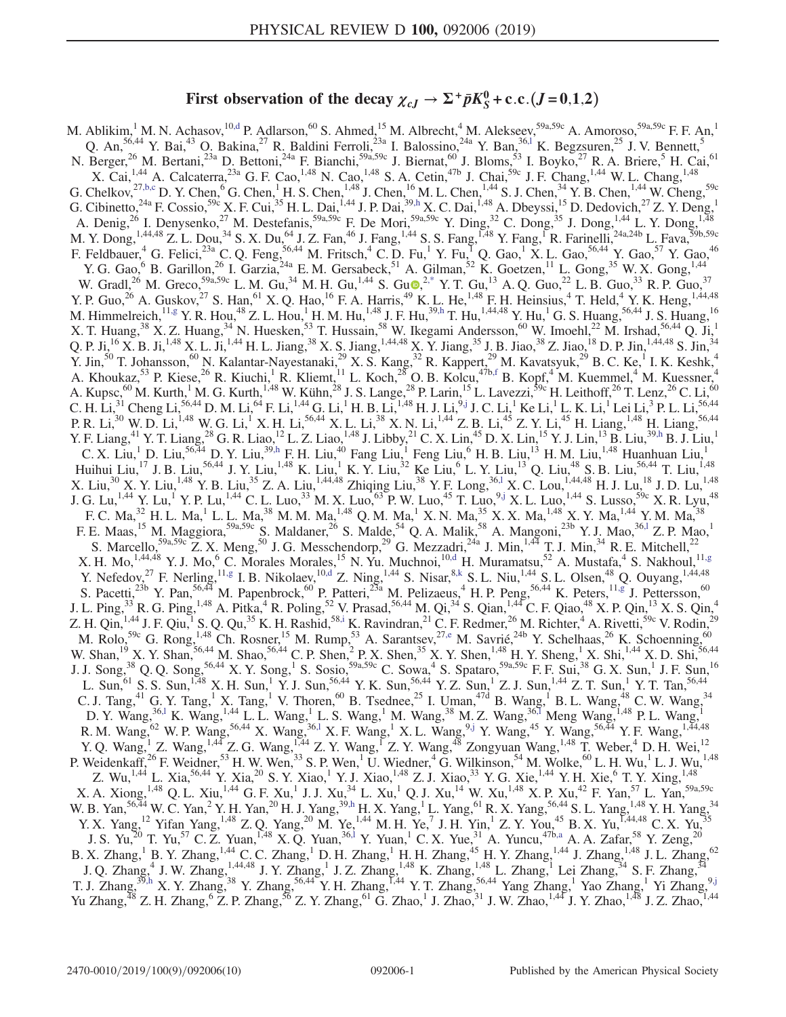# First observation of the decay  $\chi_{cJ} \to \Sigma^+ \bar{p} K_S^0$  + c.c. (*J* = 0,1,2)

<span id="page-0-8"></span><span id="page-0-7"></span><span id="page-0-6"></span><span id="page-0-5"></span><span id="page-0-4"></span><span id="page-0-3"></span><span id="page-0-2"></span><span id="page-0-1"></span><span id="page-0-0"></span>M. Ablikim,  $^1$  M. N. Achasov,  $^{10, d}$  P. Adlarson,  $^{60}$  S. Ahmed,  $^{15}$  M. Albrecht,  $^4$  M. Alekseev,  $^{59a, 59c}$  A. Amoroso,  $^{59a, 59c}$  F. F. An,  $^1$ Q. An,<sup>56,44</sup> Y. Bai,<sup>43</sup> O. Bakina,<sup>27</sup> R. Baldini Ferroli,<sup>23a</sup> I. Balossino,<sup>24a</sup> Y. Ban,<sup>36,1</sup> K. Begzsuren,<sup>25</sup> J. V. Bennett,<sup>5</sup> N. Berger,<sup>26</sup> M. Bertani,<sup>23a</sup> D. Bettoni,<sup>24a</sup> F. Bianchi,<sup>59a,59c</sup> J. Biernat,<sup>60</sup> J. Bloms,<sup>53</sup> I. Boyko,<sup>27</sup> R. A. Briere,<sup>5</sup> H. Cai,<sup>61</sup> X. Cai, <sup>1,44</sup> A. Calcaterra, <sup>23a</sup> G. F. Cao, <sup>1,48</sup> N. Cao, <sup>1,48</sup> S. A. Cetin, <sup>47b</sup> J. Chai, <sup>59c</sup> J. F. Chang, <sup>1,44</sup> W. L. Chang, <sup>1,48</sup> G. Chelkov,  $^{27,b,c}$  $^{27,b,c}$  $^{27,b,c}$  D. Y. Chen,  $^6$  G. Chen,  $^1$  H. S. Chen,  $^{1,48}$  J. Chen,  $^{16}$  M. L. Chen,  $^{1,44}$  S. J. Chen,  $^{34}$  Y. B. Chen,  $^{1,44}$  W. Cheng,  $^{59c}$ G. Cibinetto,<sup>24a</sup> F. Cossio,<sup>59c</sup> X. F. Cui,<sup>35</sup> H. L. Dai,<sup>1,44</sup> J. P. Dai,<sup>3[9,h](#page-2-3)</sup> X. C. Dai,<sup>1,48</sup> A. Dbeyssi,<sup>15</sup> D. Dedovich,<sup>27</sup> Z. Y. Deng,<sup>1</sup> A. Denig,<sup>26</sup> I. Denysenko,<sup>27</sup> M. Destefanis,<sup>59a,59c</sup> F. De Mori,<sup>59a,59c</sup> Y. Ding,<sup>32</sup> C. Dong,<sup>35</sup> J. Dong,<sup>1,44</sup> L. Y. Dong,<sup>1,48</sup> M. Y. Dong, <sup>1,44,48</sup> Z. L. Dou,<sup>34</sup> S. X. Du,<sup>64</sup> J. Z. Fan,<sup>46</sup> J. Fang, <sup>1,44</sup> S. S. Fang, <sup>1,48</sup> Y. Fang, <sup>1</sup>R. Farinelli, <sup>24a,24b</sup> L. Fava, <sup>59b,59c</sup> F. Feldbauer, <sup>4</sup> G. Felici,<sup>23a</sup> C. Q. Feng,<sup>56,44</sup> M. Fritsch, <sup>4</sup> C. D. Fu, <sup>1</sup> Y. Fu, <sup>1</sup> Q. Gao, <sup>1</sup> X. L. Gao, <sup>56,44</sup> Y. Gao, <sup>57</sup> Y. Gao, <sup>46</sup> Y. G. Gao,  $6$  B. Garillon,  $^{26}$  I. Garzia,  $^{24a}$  E. M. Gersabeck,  $^{51}$  A. Gilman,  $^{52}$  K. Goetzen,  $^{11}$  L. Gong,  $^{35}$  W. X. Gong,  $^{1,44}$ W. Gradl,<sup>26</sup> M. Greco,<sup>59a,59c</sup> L. M. Gu,<sup>34</sup> M. H. Gu,<sup>1,44</sup> S. Gu $\Phi$ ,<sup>[2,\\*](#page-2-4)</sup> Y. T. Gu,<sup>13</sup> A. Q. Guo,<sup>22</sup> L. B. Guo,<sup>33</sup> R. P. Guo,<sup>37</sup> Y. P. Guo,<sup>26</sup> A. Guskov,<sup>27</sup> S. Han,<sup>61</sup> X. Q. Hao,<sup>16</sup> F. A. Harris,<sup>49</sup> K. L. He,<sup>1,48</sup> F. H. Heinsius,<sup>4</sup> T. Held,<sup>4</sup> Y. K. Heng,<sup>1,44,48</sup> M. Himmelreich,  $^{11,g}$  $^{11,g}$  $^{11,g}$  Y. R. Hou,  $^{48}$  Z. L. Hou,  $^{1}$  H. M. Hu,  $^{1,48}$  J. F. Hu,  $^{39,h}$  $^{39,h}$  $^{39,h}$  T. Hu,  $^{1,44,48}$  Y. Hu,  $^{1}$  G. S. Huang,  $^{56,44}$  J. S. Huang,  $^{16}$ X. T. Huang,<sup>38</sup> X. Z. Huang,<sup>34</sup> N. Huesken,<sup>53</sup> T. Hussain,<sup>58</sup> W. Ikegami Andersson,<sup>60</sup> W. Imoehl,<sup>22</sup> M. Irshad,<sup>56,44</sup> Q. Ji,<sup>1</sup> Q. P. Ji,<sup>16</sup> X. B. Ji,<sup>1,48</sup> X. L. Ji,<sup>1,44</sup> H. L. Jiang,<sup>38</sup> X. S. Jiang,<sup>1,44,48</sup> X. Y. Jiang,<sup>35</sup> J. B. Jiao,<sup>38</sup> Z. Jiao,<sup>18</sup> D. P. Jin,<sup>1,44,48</sup> S. Jin,<sup>34</sup> Y. Jin,<sup>50</sup> T. Johansson,<sup>60</sup> N. Kalantar-Nayestanaki,<sup>29</sup> X. S. Kang,<sup>32</sup> R. Kappert,<sup>29</sup> M. Kavatsyuk,<sup>29</sup> B. C. Ke,<sup>1</sup> I. K. Keshk,<sup>4</sup> A. Khoukaz,<sup>53</sup> P. Kiese,<sup>26</sup> R. Kiuchi,<sup>1</sup> R. Kliemt,<sup>11</sup> L. Koch,<sup>28</sup> O. B. Kolcu,<sup>47b[,f](#page-2-6)</sup> B. Kopf,<sup>4</sup> M. Kuemmel,<sup>4</sup> M. Kuessner,<sup>4</sup> A. Kupsc, $^{60}$  M. Kurth,<sup>1</sup> M. G. Kurth,<sup>1,48</sup> W. Kühn,<sup>28</sup> J. S. Lange,<sup>28</sup> P. Larin,<sup>15</sup> L. Lavezzi,<sup>59c</sup> H. Leithoff,<sup>26</sup> T. Lenz,<sup>26</sup> C. Li,<sup>60</sup> C. H. Li,<sup>31</sup> Cheng Li,<sup>56,44</sup> D. M. Li,<sup>64</sup> F. Li,<sup>1,44</sup> G. Li,<sup>1</sup> H. B. Li,<sup>1,48</sup> H. J. Li,<sup>9[,j](#page-2-7)</sup> J. C. Li,<sup>1</sup> Ke Li,<sup>1</sup> L. K. Li,<sup>1</sup> Lei Li,<sup>3</sup> P. L. Li,<sub>2000</sub> P. R. Li,<sup>30</sup> W. D. Li,<sup>1,48</sup> W. G. Li,<sup>1</sup> X. H. Li,<sup>56,44</sup> X. L. Li,<sup>38</sup> X. N. Li,<sup>1,44</sup> Z. B. Li,<sup>45</sup> Z. Y. Li,<sup>45</sup> H. Liang,<sup>1,48</sup> H. Liang,<sup>56,44</sup> Y. F. Liang,<sup>41</sup> Y. T. Liang,<sup>28</sup> G. R. Liao,<sup>12</sup> L. Z. Liao,<sup>1,48</sup> J. Libby,<sup>21</sup> C. X. Lin,<sup>45</sup> D. X. Lin,<sup>15</sup> Y. J. Lin,<sup>13</sup> B. Liu,<sup>3[9,h](#page-2-3)</sup> B. J. Liu,<sup>1</sup> C. X. Liu,<sup>1</sup> D. Liu,<sup>56,44</sup> D. Y. Liu,<sup>39[,h](#page-2-3)</sup> F. H. Liu,<sup>40</sup> Fang Liu,<sup>1</sup> Feng Liu,<sup>6</sup> H. B. Liu,<sup>13</sup> H. M. Liu,<sup>1,48</sup> Huanhuan Liu,<sup>1</sup> Huihui Liu,<sup>17</sup> J. B. Liu,<sup>56,44</sup> J. Y. Liu,<sup>1,48</sup> K. Liu,<sup>1</sup> K. Y. Liu,<sup>32</sup> Ke Liu,<sup>6</sup> L. Y. Liu,<sup>13</sup> Q. Liu,<sup>48</sup> S. B. Liu,<sup>56,44</sup> T. Liu,<sup>1,48</sup> X. Liu,<sup>30</sup> X. Y. Liu,<sup>1,48</sup> Y. B. Liu,<sup>35</sup> Z. A. Liu,<sup>1,44,48</sup> Zhiqing Liu,<sup>38</sup> Y. F. Long,<sup>36,1</sup> X. C. Lou,<sup>1,44,48</sup> H. J. Lu,<sup>18</sup> J. D. Lu,<sup>1,48</sup> J. G. Lu,<sup>1,44</sup> Y. Lu,<sup>1</sup> Y. P. Lu,<sup>1,44</sup> C. L. Luo,<sup>33</sup> M. X. Luo,<sup>63</sup> P. W. Luo,<sup>45</sup> T. Luo,<sup>[9,j](#page-2-7)</sup> X. L. Luo,<sup>1,44</sup> S. Lusso,<sup>59c</sup> X. R. Lyu,<sup>48</sup> F. C. Ma, $^{32}$  H. L. Ma, $^{1}$  L. L. Ma, $^{38}$  M. M. Ma, $^{1,48}$  Q. M. Ma, $^{1}$  X. N. Ma, $^{35}$  X. X. Ma, $^{1,48}$  X. Y. Ma, $^{1,44}$  Y. M. Ma, $^{38}$ F. E. Maas,<sup>15</sup> M. Maggiora,<sup>59a,59c</sup> S. Maldaner,<sup>26</sup> S. Malde,<sup>54</sup> Q. A. Malik,<sup>58</sup> A. Mangoni,<sup>23b</sup> Y. J. Mao,<sup>36,1</sup> Z. P. Mao,<sup>1</sup> S. Marcello,<sup>59a,59c</sup> Z. X. Meng,<sup>50</sup> J. G. Messchendorp,<sup>29</sup> G. Mezzadri,<sup>24a</sup> J. Min,<sup>1,44</sup> T. J. Min,<sup>34</sup> R. E. Mitchell,<sup>22</sup> X. H. Mo,  $^{1,44,48}$  Y. J. Mo, <sup>6</sup> C. Morales Morales, <sup>15</sup> N. Yu. Muchnoi,  $^{10,d}$  $^{10,d}$  $^{10,d}$  H. Muramatsu, <sup>52</sup> A. Mustafa, <sup>4</sup> S. Nakhoul,  $^{11,g}$  $^{11,g}$  $^{11,g}$ Y. Nefedov,  $^{27}$  F. Nerling,  $^{11,g}$  $^{11,g}$  $^{11,g}$  I. B. Nikolaev,  $^{10,d}$  $^{10,d}$  $^{10,d}$  Z. Ning,  $^{1,44}$  S. Nisar,  $^{8,k}$  $^{8,k}$  $^{8,k}$  S. L. Niu,  $^{1,44}$  S. L. Olsen,  $^{48}$  Q. Ouyang,  $^{1,44,48}$ S. Pacetti,<sup>23b</sup> Y. Pan,<sup>56,44</sup> M. Papenbrock,<sup>60</sup> P. Patteri,<sup>23a</sup> M. Pelizaeus,<sup>4</sup> H. P. Peng,<sup>56,44</sup> K. Peters,<sup>11[,g](#page-2-5)</sup> J. Pettersson,<sup>60</sup> J. L. Ping,<sup>33</sup> R. G. Ping,<sup>1,48</sup> A. Pitka,<sup>4</sup> R. Poling,<sup>52</sup> V. Prasad,<sup>56,44</sup> M. Qi,<sup>34</sup> S. Qian,<sup>1,44</sup> C. F. Qiao,<sup>48</sup> X. P. Qin,<sup>13</sup> X. S. Qin,<sup>4</sup> Z. H. Qin, <sup>1,44</sup> J. F. Qiu, S. Q. Qu, S K. H. Rashid,  $58,1$  K. Ravindran,  $21$  C. F. Redmer,  $26$  M. Richter,  $4$  A. Rivetti,  $59c$  V. Rodin,  $29$ M. Rolo,<sup>59c</sup> G. Rong,<sup>1,48</sup> Ch. Rosner,<sup>15</sup> M. Rump,<sup>53</sup> A. Sarantsev,<sup>2[7,e](#page-2-10)</sup> M. Savrié,<sup>24b</sup> Y. Schelhaas,<sup>26</sup> K. Schoenning,<sup>60</sup> W. Shan,<sup>19</sup> X. Y. Shan,<sup>56,44</sup> M. Shao,<sup>56,44</sup> C. P. Shen,<sup>2</sup> P. X. Shen,<sup>35</sup> X. Y. Shen,<sup>1,48</sup> H. Y. Sheng,<sup>1</sup> X. Shi,<sup>1,44</sup> X. D. Shi,<sup>56,44</sup> J. J. Song,<sup>38</sup> Q. Q. Song,<sup>56,44</sup> X. Y. Song,<sup>1</sup> S. Sosio,<sup>59a,59c</sup> C. Sowa,<sup>4</sup> S. Spataro,<sup>59a,59c</sup> F. F. Sui,<sup>38</sup> G. X. Sun,<sup>1</sup> J. F. Sun,<sup>16</sup> L. Sun,  $^{61}$  S. S. Sun,  $^{1,48}$  X. H. Sun,  $^{1}$  Y. J. Sun,  $^{56,44}$  Y. K. Sun,  $^{56,44}$  Y. Z. Sun,  $^{1}$  Z. J. Sun,  $^{1,44}$  Z. T. Sun,  $^{1}$  Y. T. Tan,  $^{56,44}$ C. J. Tang,<sup>41</sup> G. Y. Tang,<sup>1</sup> X. Tang,<sup>1</sup> V. Thoren,<sup>60</sup> B. Tsednee,<sup>25</sup> I. Uman,<sup>47d</sup> B. Wang,<sup>1</sup> B. L. Wang,<sup>48</sup> C. W. Wang,<sup>34</sup> D. Y. Wang,<sup>36[,l](#page-2-1)</sup> K. Wang,<sup>1,44</sup> L. L. Wang,<sup>1</sup> L. S. Wang,<sup>1</sup> M. Wang,<sup>38</sup> M. Z. Wang,<sup>36,l</sup> Meng Wang,<sup>1,48</sup> P. L. Wang,<sup>1</sup> R. M. Wang,<sup>62</sup> W. P. Wang,<sup>56,44</sup> X. Wang,<sup>36,1</sup> X. F. Wang,<sup>1</sup> X. L. Wang,<sup>[9,j](#page-2-7)</sup> Y. Wang,<sup>45</sup> Y. Wang,<sup>56,44</sup> Y. F. Wang,<sup>1,44,48</sup> Y. Q. Wang,<sup>1</sup> Z. Wang,<sup>1,44</sup> Z. G. Wang,<sup>1,44</sup> Z. Y. Wang,<sup>1</sup> Z. Y. Wang,<sup>48</sup> Zongyuan Wang,<sup>1,48</sup> T. Weber,<sup>4</sup> D. H. Wei,<sup>12</sup> P. Weidenkaff,<sup>26</sup> F. Weidner,<sup>53</sup> H. W. Wen,<sup>33</sup> S. P. Wen,<sup>1</sup> U. Wiedner,<sup>4</sup> G. Wilkinson,<sup>54</sup> M. Wolke,<sup>60</sup> L. H. Wu,<sup>1</sup> L. J. Wu,<sup>1,48</sup> Z. Wu,<sup>1,44</sup> L. Xia,<sup>56,44</sup> Y. Xia,<sup>20</sup> S. Y. Xiao,<sup>1</sup> Y. J. Xiao,<sup>1,48</sup> Z. J. Xiao,<sup>33</sup> Y. G. Xie,<sup>1,44</sup> Y. H. Xie,<sup>6</sup> T. Y. Xing,<sup>1,48</sup>  $X.$  A. Xiong,  $^{1,48}$  Q. L. Xiu,  $^{1,44}$  G. F. Xu,  $^{1}$  J. J. Xu,  $^{34}$  L. Xu,  $^{1}$  Q. J. Xu,  $^{14}$  W. Xu,  $^{1,48}$  X. P. Xu,  $^{42}$  F. Yan,  $^{57}$  L. Yan,  $^{59a,59c}$ W. B. Yan, <sup>56,44</sup> W. C. Yan,<sup>2</sup> Y. H. Yan,<sup>20</sup> H. J. Yang,<sup>3[9,h](#page-2-3)</sup> H. X. Yang,<sup>1</sup> L. Yang,<sup>61</sup> R. X. Yang,<sup>56,44</sup> S. L. Yang,<sup>1,48</sup> Y. H. Yang,<sup>34</sup> Y. X. Yang,<sup>12</sup> Yifan Yang,<sup>1,48</sup> Z. Q. Yang,<sup>20</sup> M. Ye,<sup>1,44</sup> M. H. Ye,<sup>7</sup> J. H. Yin,<sup>1</sup> Z. Y. You,<sup>45</sup> B. X. Yu,<sup>1,44,48</sup> C. X. Yu,<sup>35</sup> J. S. Yu,<sup>20</sup> T. Yu,<sup>57</sup> C. Z. Yuan,<sup>1,48</sup> X. Q. Yuan,<sup>36,1</sup> Y. Yuan,<sup>1</sup> C. X. Yue,<sup>31</sup> A. Yuncu,<sup>47[b,a](#page-2-11)</sup> A. A. Zafar,<sup>58</sup> Y. Zeng,<sup>20</sup> B. X. Zhang,<sup>1</sup> B. Y. Zhang,<sup>1,44</sup> C. C. Zhang,<sup>1</sup> D. H. Zhang,<sup>1</sup> H. H. Zhang,<sup>45</sup> H. Y. Zhang,<sup>1,44</sup> J. Zhang,<sup>1,48</sup> J. L. Zhang,<sup>62</sup> J. Q. Zhang,<sup>4</sup> J. W. Zhang,<sup>1,44,48</sup> J. Y. Zhang,<sup>1</sup> J. Z. Zhang,<sup>1,48</sup> K. Zhang,<sup>1,48</sup> L. Zhang,<sup>1</sup> Lei Zhang,<sup>34</sup> S. F. Zhang,<sup>34</sup> T. J. Zhang,<sup>39[,h](#page-2-3)</sup> X. Y. Zhang,<sup>38</sup> Y. Zhang,<sup>56,44</sup> Y. H. Zhang,<sup>1,44</sup> Y. T. Zhang,<sup>56,44</sup> Yang Zhang,<sup>1</sup> Yao Zhang,<sup>1</sup> Yi Zhang,<sup>[9,j](#page-2-7)</sup> Yu Zhang,<sup>48</sup> Z. H. Zhang,<sup>6</sup> Z. P. Zhang,<sup>56</sup> Z. Y. Zhang,<sup>61</sup> G. Zhao,<sup>1</sup> J. Zhao,<sup>31</sup> J. W. Zhao,<sup>1,44</sup> J. Y. Zhao,<sup>1,48</sup> J. Z. Zhao,<sup>1,44</sup>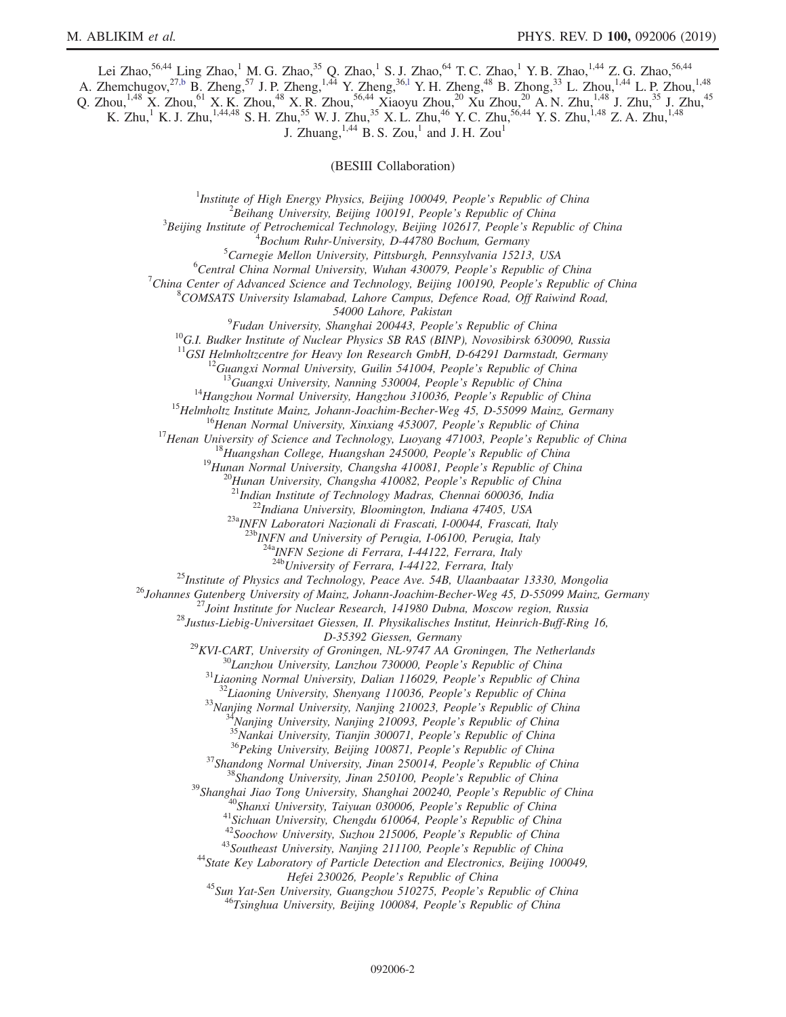Lei Zhao,<sup>56,44</sup> Ling Zhao,<sup>1</sup> M. G. Zhao,<sup>35</sup> Q. Zhao,<sup>1</sup> S. J. Zhao,<sup>64</sup> T. C. Zhao,<sup>1</sup> Y. B. Zhao,<sup>1,44</sup> Z. G. Zhao,<sup>56,44</sup>

A. Zhemchugov,<sup>2[7,b](#page-2-2)</sup> B. Zheng,<sup>57</sup> J. P. Zheng,<sup>1,44</sup> Y. Zheng,<sup>36,1</sup> Y. H. Zheng,<sup>48</sup> B. Zhong,<sup>33</sup> L. Zhou,<sup>1,44</sup> L. P. Zhou,<sup>1,48</sup>

Q. Zhou,<sup>1,48</sup> X. Zhou,<sup>61</sup> X. K. Zhou,<sup>48</sup> X. R. Zhou,<sup>56,44</sup> Xiaoyu Zhou,<sup>20</sup> Xu Zhou,<sup>20</sup> A. N. Zhu,<sup>1,48</sup> J. Zhu,<sup>35</sup> J. Zhu,<sup>45</sup> K. Zhu,<sup>1</sup> K. J. Zhu,<sup>1,44,48</sup> S. H. Zhu,<sup>55</sup> W. J. Zhu,<sup>35</sup> X. L. Zhu,<sup>46</sup> Y. C. Zhu,<sup>56,44</sup> Y. S. Zhu,<sup>1,48</sup> Z. A. Zhu,<sup>1,48</sup>

J. Zhuang,  $^{1,44}$  B. S. Zou,<sup>1</sup> and J. H. Zou<sup>1</sup>

(BESIII Collaboration)

<sup>1</sup>Institute of High Energy Physics, Beijing 100049, People's Republic of China  $\frac{2 \text{Poibana}}{2}$  ${}^{2}$ Beihang University, Beijing 100191, People's Republic of China  ${}^{3}$ Beijing Institute of Petrochemical Technology, Beijing 102617, People's Republic of China  $B$ ochum Ruhr-University, D-44780 Bochum, Germany  ${}^{5}$ Carnegie Mellon University, Pittsburgh, Pennsylvania 15213, USA

 ${}^{6}$ Central China Normal University, Wuhan 430079, People's Republic of China

<sup>7</sup>China Center of Advanced Science and Technology, Beijing 100190, People's Republic of China

 $8$ COMSATS University Islamabad, Lahore Campus, Defence Road, Off Raiwind Road,

54000 Lahore, Pakistan<br><sup>9</sup>Fudan University, Shanghai 200443, People's Republic of China

<sup>10</sup>G.I. Budker Institute of Nuclear Physics SB RAS (BINP), Novosibirsk 630090, Russia <sup>11</sup>GSI Helmholtzcentre for Heavy Ion Research GmbH, D-64291 Darmstadt, Germany

<sup>11</sup>GSI Helmholtzcentre for Heavy Ion Research GmbH, D-64291 Darmstadt, Germany<br><sup>12</sup>Guangxi Normal University, Guilin 541004, People's Republic of China<br><sup>13</sup>Guangxi University, Nanning 530004, People's Republic of China<br><sup></sup>

 $^{23a}$ INFN Laboratori Nazionali di Frascati, I-00044, Frascati, Italy<br> $^{23b}$ INFN and University of Perugia, I-06100, Perugia, Italy

 $\frac{^{24a}NFN}{^{24b}University}$  of Ferrara, I-44122, Ferrara, Italy  $\frac{^{24b}V}{^{24b}University}$  of Ferrara, I-44122, Ferrara, Italy

<sup>25</sup>Institute of Physics and Technology, Peace Ave. 54B, Ulaanbaatar 13330, Mongolia<br><sup>26</sup>Johannes Gutenberg University of Mainz, Johann-Joachim-Becher-Weg 45, D-55099 Mainz, Germany<br><sup>27</sup>Joint Institute for Nuclear Researc

D-35392 Giessen, Germany<br>
D-35392 Giessen, Germany<br>
<sup>30</sup> Lanzhou University, Lanzhou N1-9747 AA Groningen, The Netherlands<br>
<sup>30</sup> Lanzhou University, Dazhou 130000, People's Republic of China<br>
<sup>31</sup> Liaoning Normal Universit

Hefei 230026, People's Republic of China<br><sup>45</sup>Sun Yat-Sen University, Guangzhou 510275, People's Republic of China<br><sup>46</sup>Tsinghua University, Beijing 100084, People's Republic of China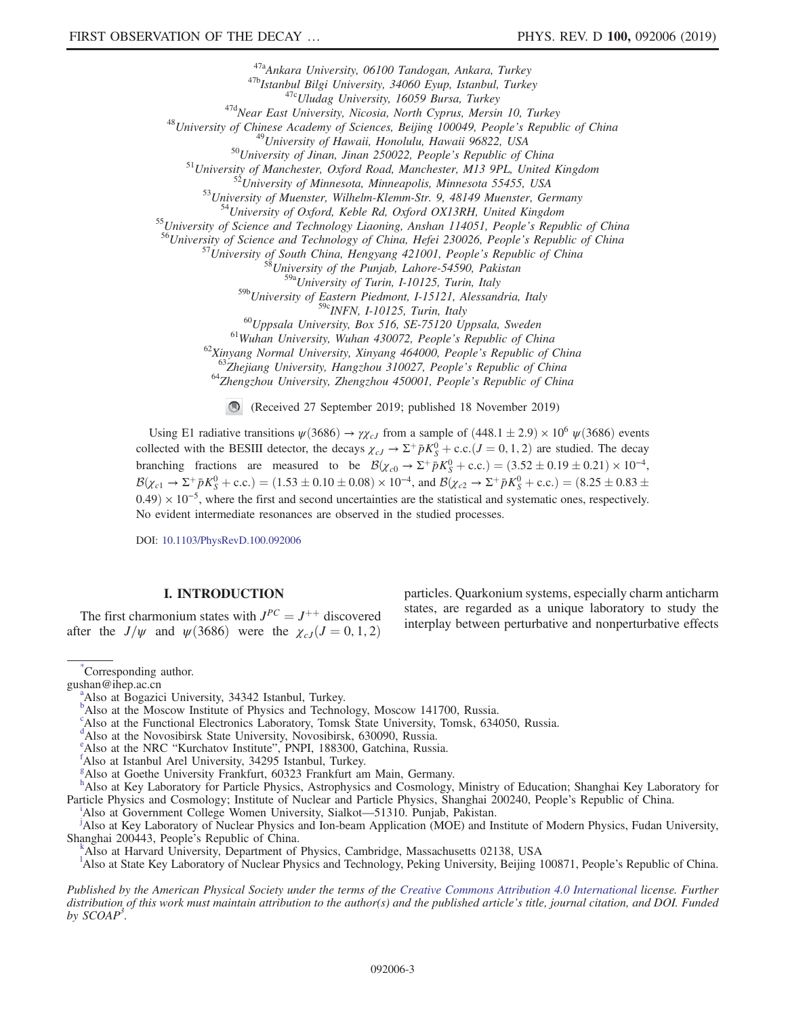<sup>47a</sup>Ankara University, 06100 Tandogan, Ankara, Turkey<br>
<sup>47a</sup>Makara University, 06100 Tandogan, Ankara, Turkey<br>
<sup>476</sup>Istanbul Bilgi University, 34060 Eyup, Istanbul, Turkey<br>
<sup>476</sup>Uludag University, Nicosia, North Cyprus,

<sup>59a</sup>University of Turin, I-10125, Turin, Italy

 $^{59b}$ University of Eastern Piedmont, I-15121, Alessandria, Italy<br> $^{59c}$ INFN, I-10125, Turin, Italy

<sup>60</sup>Uppsala University, Box 516, SE-75120 Uppsala, Sweden<br><sup>61</sup>Wuhan University, Wuhan 430072, People's Republic of China<br><sup>62</sup>Xinyang Normal University, Xinyang 464000, People's Republic of China<br><sup>63</sup>Zhejiang University, H

(Received 27 September 2019; published 18 November 2019)

Using E1 radiative transitions  $\psi(3686) \to \gamma \chi_{cJ}$  from a sample of  $(448.1 \pm 2.9) \times 10^6 \psi(3686)$  events collected with the BESIII detector, the decays  $\chi_{cJ} \to \Sigma^+ \bar{p} K_S^0 + \text{c.c.} (J = 0, 1, 2)$  are studied. The decay branching fractions are measured to be  $\mathcal{B}(\chi_{c0} \to \Sigma^+ \bar{p} K_S^0 + \text{c.c.}) = (3.52 \pm 0.19 \pm 0.21) \times 10^{-4}$ ,  $\mathcal{B}(\chi_{c1} \to \Sigma^+ \bar{p} K_S^0 + \text{c.c.}) = (1.53 \pm 0.10 \pm 0.08) \times 10^{-4}$ , and  $\mathcal{B}(\chi_{c2} \to \Sigma^+ \bar{p} K_S^0 + \text{c.c.}) = (8.25 \pm 0.83 \pm 0.08) \times 10^{-4}$  $0.49 \times 10^{-5}$ , where the first and second uncertainties are the statistical and systematic ones, respectively. No evident intermediate resonances are observed in the studied processes.

DOI: [10.1103/PhysRevD.100.092006](https://doi.org/10.1103/PhysRevD.100.092006)

# I. INTRODUCTION

The first charmonium states with  $J^{PC} = J^{++}$  discovered after the  $J/\psi$  and  $\psi$ (3686) were the  $\chi_{cJ}(J=0, 1, 2)$ 

particles. Quarkonium systems, especially charm anticharm states, are regarded as a unique laboratory to study the interplay between perturbative and nonperturbative effects

<span id="page-2-5"></span>[g](#page-0-6) Also at Goethe University Frankfurt, 60323 Frankfurt am Main, Germany.

<span id="page-2-9"></span>Also at Government College Women University, Sialkot—51310. Punjab, Pakistan. [j](#page-0-7)

<span id="page-2-7"></span><sup>j</sup>Also at Key Laboratory of Nuclear Physics and Ion-beam Application (MOE) and Institute of Modern Physics, Fudan University, Shanghai 200443, People's Republic of China. [k](#page-0-3)

<span id="page-2-8"></span>Also at Harvard University, Department of Physics, Cambridge, Massachusetts 02138, USA

<span id="page-2-1"></span><sup>1</sup>A[l](#page-0-1)so at State Key Laboratory of Nuclear Physics and Technology, Peking University, Beijing 100871, People's Republic of China.

Published by the American Physical Society under the terms of the [Creative Commons Attribution 4.0 International](https://creativecommons.org/licenses/by/4.0/) license. Further distribution of this work must maintain attribution to the author(s) and the published article's title, journal citation, and DOI. Funded by  $SCOAP<sup>3</sup>$ .

<span id="page-2-4"></span>[<sup>\\*</sup>](#page-0-0) Corresponding author.

<span id="page-2-11"></span>gush[a](#page-0-1)n@ihep.ac.cn

<span id="page-2-2"></span><sup>&</sup>lt;sup>a</sup>Also at Bogazici University, 34342 Istan[b](#page-0-2)ul, Turkey.<br><sup>b</sup>Also at the Moscow Institute of Physics and Technology, Moscow 141700, Russia.

c Also at the Functional Electronics Laboratory, Tomsk State University, Tomsk, 634050, Russia.

<span id="page-2-0"></span><sup>&</sup>lt;sup>[d](#page-0-3)</sup>Also at the Novosibirsk State University, Novosibirsk, 630090, Russia.

<span id="page-2-10"></span><span id="page-2-6"></span><sup>&</sup>lt;sup>[e](#page-0-4)</sup> Also at the NRC "Kurchatov Institute", PNPI, 188300, Gatchina, Russia.

<sup>&</sup>lt;sup>†</sup>Also at Istanbul Arel University, 34295 Istanbul, Turkey.

<span id="page-2-3"></span>[h](#page-0-7)<br>Also at Key Laboratory for Particle Physics, Astrophysics and Cosmology, Ministry of Education; Shanghai Key Laboratory for Part[i](#page-0-8)cle Physics and Cosmology; Institute of Nuclear and Particle Physics, Shanghai 200240, People's Republic of China.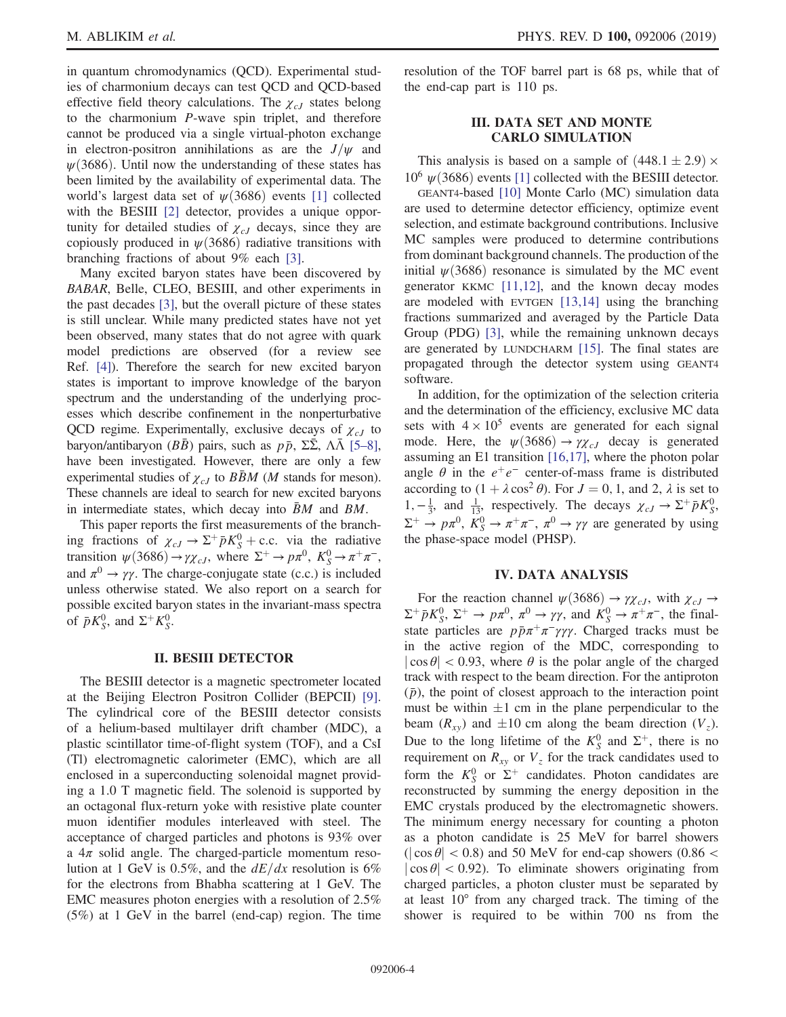in quantum chromodynamics (QCD). Experimental studies of charmonium decays can test QCD and QCD-based effective field theory calculations. The  $\chi_{cJ}$  states belong to the charmonium P-wave spin triplet, and therefore cannot be produced via a single virtual-photon exchange in electron-positron annihilations as are the  $J/\psi$  and  $\psi(3686)$ . Until now the understanding of these states has been limited by the availability of experimental data. The world's largest data set of  $\psi$ (3686) events [\[1\]](#page-8-0) collected with the BESIII [\[2\]](#page-8-1) detector, provides a unique opportunity for detailed studies of  $\chi_{cJ}$  decays, since they are copiously produced in  $\psi$ (3686) radiative transitions with branching fractions of about 9% each [\[3\].](#page-8-2)

Many excited baryon states have been discovered by BABAR, Belle, CLEO, BESIII, and other experiments in the past decades [\[3\],](#page-8-2) but the overall picture of these states is still unclear. While many predicted states have not yet been observed, many states that do not agree with quark model predictions are observed (for a review see Ref. [\[4\]\)](#page-8-3). Therefore the search for new excited baryon states is important to improve knowledge of the baryon spectrum and the understanding of the underlying processes which describe confinement in the nonperturbative QCD regime. Experimentally, exclusive decays of  $\chi_{cJ}$  to baryon/antibaryon ( $B\bar{B}$ ) pairs, such as  $p\bar{p}$ ,  $\Sigma\bar{\Sigma}$ ,  $\Lambda\bar{\Lambda}$  [\[5](#page-8-4)–8], have been investigated. However, there are only a few experimental studies of  $\chi_{cJ}$  to BBM (M stands for meson). These channels are ideal to search for new excited baryons in intermediate states, which decay into  $\bar{B}M$  and  $BM$ .

This paper reports the first measurements of the branching fractions of  $\chi_{cJ} \to \Sigma^{+} \bar{p} K_{S}^{0}$  + c.c. via the radiative transition  $\psi(3686) \to \gamma \chi_{cJ}$ , where  $\Sigma^+ \to p\pi^0$ ,  $K_S^0 \to \pi^+\pi^-$ , and  $\pi^0 \rightarrow \gamma \gamma$ . The charge-conjugate state (c.c.) is included unless otherwise stated. We also report on a search for possible excited baryon states in the invariant-mass spectra of  $\bar{p}K_S^0$ , and  $\Sigma^+K_S^0$ .

## II. BESIII DETECTOR

The BESIII detector is a magnetic spectrometer located at the Beijing Electron Positron Collider (BEPCII) [\[9\]](#page-8-5). The cylindrical core of the BESIII detector consists of a helium-based multilayer drift chamber (MDC), a plastic scintillator time-of-flight system (TOF), and a CsI (Tl) electromagnetic calorimeter (EMC), which are all enclosed in a superconducting solenoidal magnet providing a 1.0 T magnetic field. The solenoid is supported by an octagonal flux-return yoke with resistive plate counter muon identifier modules interleaved with steel. The acceptance of charged particles and photons is 93% over a  $4\pi$  solid angle. The charged-particle momentum resolution at 1 GeV is 0.5%, and the  $dE/dx$  resolution is 6% for the electrons from Bhabha scattering at 1 GeV. The EMC measures photon energies with a resolution of 2.5% (5%) at 1 GeV in the barrel (end-cap) region. The time resolution of the TOF barrel part is 68 ps, while that of the end-cap part is 110 ps.

# III. DATA SET AND MONTE CARLO SIMULATION

This analysis is based on a sample of  $(448.1 \pm 2.9) \times$  $10^6 \psi(3686)$  events [\[1\]](#page-8-0) collected with the BESIII detector.

GEANT4-based [\[10\]](#page-8-6) Monte Carlo (MC) simulation data are used to determine detector efficiency, optimize event selection, and estimate background contributions. Inclusive MC samples were produced to determine contributions from dominant background channels. The production of the initial  $\psi(3686)$  resonance is simulated by the MC event generator KKMC  $[11,12]$ , and the known decay modes are modeled with EVTGEN [\[13,14\]](#page-9-1) using the branching fractions summarized and averaged by the Particle Data Group (PDG) [\[3\]](#page-8-2), while the remaining unknown decays are generated by LUNDCHARM [\[15\]](#page-9-2). The final states are propagated through the detector system using GEANT4 software.

In addition, for the optimization of the selection criteria and the determination of the efficiency, exclusive MC data sets with  $4 \times 10^5$  events are generated for each signal mode. Here, the  $\psi(3686) \rightarrow \gamma \chi_{cJ}$  decay is generated assuming an E1 transition [\[16,17\]](#page-9-3), where the photon polar angle  $\theta$  in the  $e^+e^-$  center-of-mass frame is distributed according to  $(1 + \lambda \cos^2 \theta)$ . For  $J = 0, 1$ , and 2,  $\lambda$  is set to 1,  $-\frac{1}{3}$ , and  $\frac{1}{13}$ , respectively. The decays  $\chi_{cJ}$  →  $\Sigma^{+} \bar{p} K_S^0$ ,  $\Sigma^+ \to p\pi^0$ ,  $\tilde{K}^0_S \to \pi^+\pi^-$ ,  $\pi^0 \to \gamma\gamma$  are generated by using the phase-space model (PHSP).

## IV. DATA ANALYSIS

For the reaction channel  $\psi$ (3686)  $\rightarrow \gamma \chi_{cJ}$ , with  $\chi_{cJ} \rightarrow$  $\Sigma^+ \bar{p} K^0_S$ ,  $\Sigma^+ \to p \pi^0$ ,  $\pi^0 \to \gamma \gamma$ , and  $K^0_S \to \pi^+ \pi^-$ , the finalstate particles are  $p\bar{p}\pi^+\pi^-\gamma\gamma\gamma$ . Charged tracks must be in the active region of the MDC, corresponding to  $|\cos \theta|$  < 0.93, where  $\theta$  is the polar angle of the charged track with respect to the beam direction. For the antiproton  $(\bar{p})$ , the point of closest approach to the interaction point must be within  $\pm 1$  cm in the plane perpendicular to the beam  $(R_{xy})$  and  $\pm 10$  cm along the beam direction  $(V_z)$ . Due to the long lifetime of the  $K_S^0$  and  $\Sigma^+$ , there is no requirement on  $R_{xy}$  or  $V_z$  for the track candidates used to form the  $K_S^0$  or  $\Sigma^+$  candidates. Photon candidates are reconstructed by summing the energy deposition in the EMC crystals produced by the electromagnetic showers. The minimum energy necessary for counting a photon as a photon candidate is 25 MeV for barrel showers  $(|\cos \theta| < 0.8)$  and 50 MeV for end-cap showers  $(0.86 <$  $|\cos \theta|$  < 0.92). To eliminate showers originating from charged particles, a photon cluster must be separated by at least 10° from any charged track. The timing of the shower is required to be within 700 ns from the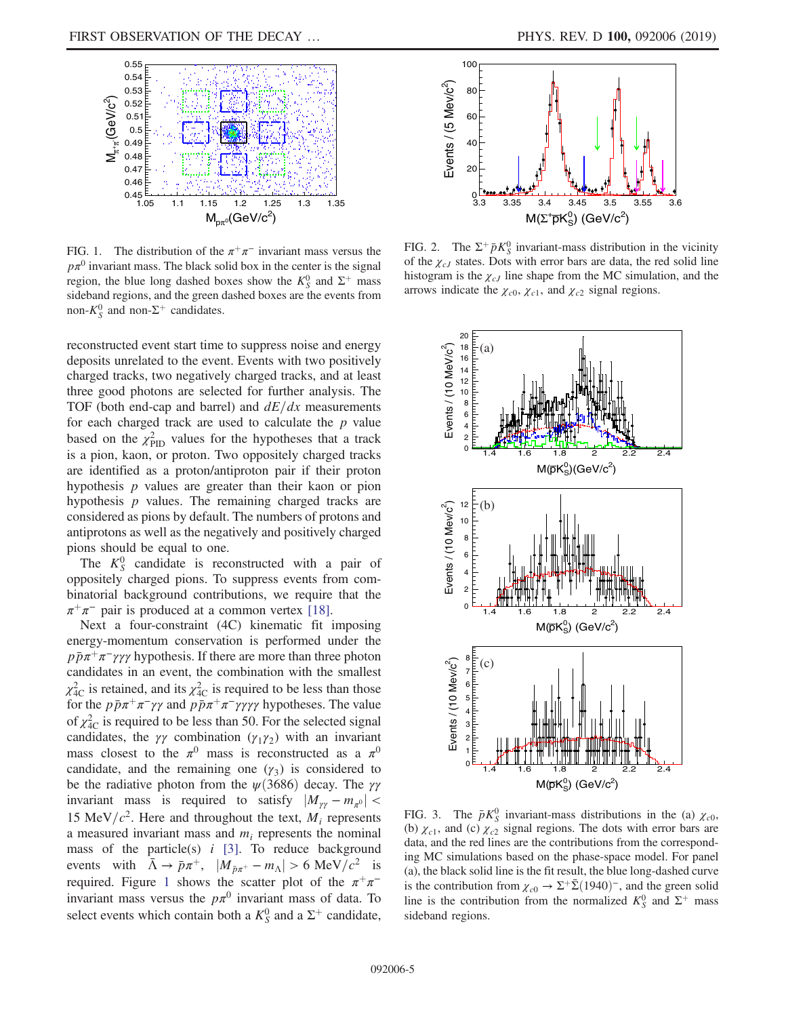<span id="page-4-0"></span>

FIG. 1. The distribution of the  $\pi^+\pi^-$  invariant mass versus the  $p\pi^{0}$  invariant mass. The black solid box in the center is the signal region, the blue long dashed boxes show the  $K_S^0$  and  $\Sigma^+$  mass sideband regions, and the green dashed boxes are the events from non- $K_S^0$  and non- $\Sigma^+$  candidates.

reconstructed event start time to suppress noise and energy deposits unrelated to the event. Events with two positively charged tracks, two negatively charged tracks, and at least three good photons are selected for further analysis. The TOF (both end-cap and barrel) and  $dE/dx$  measurements for each charged track are used to calculate the  $p$  value based on the  $\chi^{2}_{\text{PID}}$  values for the hypotheses that a track is a pion, kaon, or proton. Two oppositely charged tracks are identified as a proton/antiproton pair if their proton hypothesis  $p$  values are greater than their kaon or pion hypothesis  $p$  values. The remaining charged tracks are considered as pions by default. The numbers of protons and antiprotons as well as the negatively and positively charged pions should be equal to one.

The  $K_S^0$  candidate is reconstructed with a pair of oppositely charged pions. To suppress events from combinatorial background contributions, we require that the  $\pi^+\pi^-$  pair is produced at a common vertex [\[18\]](#page-9-4).

Next a four-constraint (4C) kinematic fit imposing energy-momentum conservation is performed under the  $p\bar{p}\pi^{+}\pi^{-}\gamma\gamma\gamma$  hypothesis. If there are more than three photon candidates in an event, the combination with the smallest  $\chi^2_{\text{4C}}$  is retained, and its  $\chi^2_{\text{4C}}$  is required to be less than those for the  $p\bar{p}\pi^+\pi^-\gamma\gamma$  and  $p\bar{p}\pi^+\pi^-\gamma\gamma\gamma\gamma$  hypotheses. The value of  $\chi^2_{\text{4C}}$  is required to be less than 50. For the selected signal candidates, the  $\gamma\gamma$  combination ( $\gamma_1\gamma_2$ ) with an invariant mass closest to the  $\pi^0$  mass is reconstructed as a  $\pi^0$ candidate, and the remaining one  $(\gamma_3)$  is considered to be the radiative photon from the  $\psi$ (3686) decay. The  $\gamma\gamma$ invariant mass is required to satisfy  $|M_{\gamma\gamma} - m_{\pi^0}|$  < 15 MeV/ $c^2$ . Here and throughout the text,  $M_i$  represents a measured invariant mass and  $m_i$  represents the nominal mass of the particle(s)  $i$  [\[3\].](#page-8-2) To reduce background events with  $\bar{\Lambda} \rightarrow \bar{p}\pi^{+}$ ,  $|M_{\bar{p}\pi^{+}} - m_{\Lambda}| > 6 \text{ MeV}/c^{2}$  is required. Figure [1](#page-4-0) shows the scatter plot of the  $\pi^+\pi^$ invariant mass versus the  $p\pi^0$  invariant mass of data. To select events which contain both a  $K_S^0$  and a  $\Sigma^+$  candidate,

<span id="page-4-1"></span>

FIG. 2. The  $\Sigma^+ \bar{p} K^0_S$  invariant-mass distribution in the vicinity of the  $\chi_{cJ}$  states. Dots with error bars are data, the red solid line histogram is the  $\chi_{cJ}$  line shape from the MC simulation, and the arrows indicate the  $\chi_{c0}$ ,  $\chi_{c1}$ , and  $\chi_{c2}$  signal regions.

<span id="page-4-2"></span>

FIG. 3. The  $\bar{p}K_S^0$  invariant-mass distributions in the (a)  $\chi_{c0}$ , (b)  $\chi_{c1}$ , and (c)  $\chi_{c2}$  signal regions. The dots with error bars are data, and the red lines are the contributions from the corresponding MC simulations based on the phase-space model. For panel (a), the black solid line is the fit result, the blue long-dashed curve is the contribution from  $\chi_{c0} \to \Sigma^{+} \bar{\Sigma} (1940)^{-}$ , and the green solid line is the contribution from the normalized  $K_S^0$  and  $\Sigma^+$  mass sideband regions.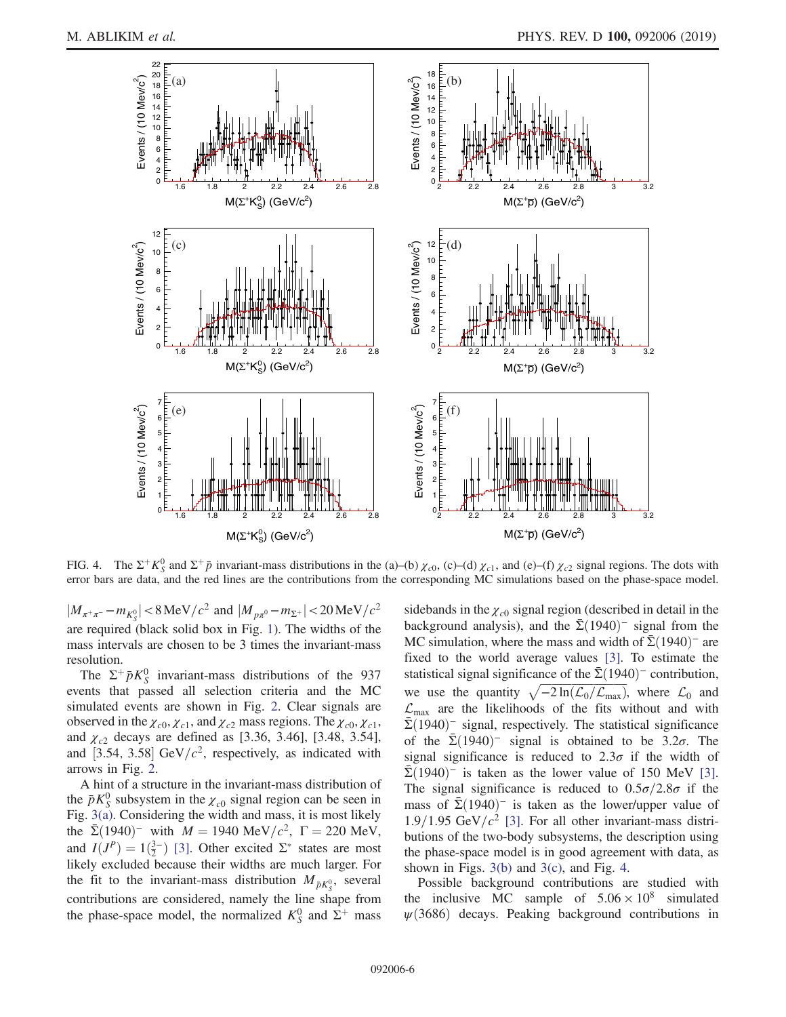<span id="page-5-0"></span>

FIG. 4. The  $\Sigma^+ K^0_S$  and  $\Sigma^+ \bar{p}$  invariant-mass distributions in the (a)–(b)  $\chi_{c0}$ , (c)–(d)  $\chi_{c1}$ , and (e)–(f)  $\chi_{c2}$  signal regions. The dots with error bars are data, and the red lines are the contributions from the corresponding MC simulations based on the phase-space model.

 $|M_{\pi^+\pi^-} - m_{K^0_S}| < 8 \text{ MeV}/c^2 \text{ and } |M_{p\pi^0} - m_{\Sigma^+}| < 20 \text{ MeV}/c^2$ are required (black solid box in Fig. [1](#page-4-0)). The widths of the mass intervals are chosen to be 3 times the invariant-mass resolution.

The  $\Sigma^+ \bar{p} K^0_S$  invariant-mass distributions of the 937 events that passed all selection criteria and the MC simulated events are shown in Fig. [2](#page-4-1). Clear signals are observed in the  $\chi_{c0}, \chi_{c1}$ , and  $\chi_{c2}$  mass regions. The  $\chi_{c0}, \chi_{c1}$ , and  $\chi_{c2}$  decays are defined as [3.36, 3.46], [3.48, 3.54], and [3.54, 3.58] GeV/ $c^2$ , respectively, as indicated with arrows in Fig. [2.](#page-4-1)

A hint of a structure in the invariant-mass distribution of the  $\bar{p}K_S^0$  subsystem in the  $\chi_{c0}$  signal region can be seen in Fig. [3\(a\).](#page-4-2) Considering the width and mass, it is most likely the  $\bar{\Sigma}(1940)^{-}$  with  $M = 1940 \text{ MeV}/c^2$ ,  $\Gamma = 220 \text{ MeV}$ , and  $I(J^P) = 1(\frac{3}{2})$  [\[3\].](#page-8-2) Other excited  $\Sigma^*$  states are most likely excluded because their widths are much larger. For the fit to the invariant-mass distribution  $M_{\bar{p}K^0_S}$ , several contributions are considered, namely the line shape from the phase-space model, the normalized  $K_S^0$  and  $\Sigma^+$  mass sidebands in the  $\chi_{c0}$  signal region (described in detail in the background analysis), and the  $\Sigma(1940)$ <sup>-</sup> signal from the MC simulation, where the mass and width of  $\Sigma(1940)$ <sup>-</sup> are fixed to the world average values [\[3\]](#page-8-2). To estimate the statistical signal significance of the  $\Sigma(1940)$ <sup>–</sup> contribution, we use the quantity  $\sqrt{-2 \ln(\mathcal{L}_0/\mathcal{L}_{\text{max}})}$ , where  $\mathcal{L}_0$  and  $\mathcal{L}_{\text{max}}$  are the likelihoods of the fits without and with  $\bar{\Sigma}$ (1940)<sup>–</sup> signal, respectively. The statistical significance of the  $\bar{\Sigma}(1940)$ <sup>-</sup> signal is obtained to be 3.2 $\sigma$ . The signal significance is reduced to  $2.3\sigma$  if the width of  $\bar{\Sigma}$ (1940)<sup>-</sup> is taken as the lower value of 150 MeV [\[3\]](#page-8-2). The signal significance is reduced to  $0.5\sigma/2.8\sigma$  if the mass of  $\bar{\Sigma}(1940)$ <sup>-</sup> is taken as the lower/upper value of  $1.9/1.95$  GeV/ $c^2$  [\[3\].](#page-8-2) For all other invariant-mass distributions of the two-body subsystems, the description using the phase-space model is in good agreement with data, as shown in Figs.  $3(b)$  and  $3(c)$ , and Fig. [4](#page-5-0).

Possible background contributions are studied with the inclusive MC sample of  $5.06 \times 10^8$  simulated  $\psi$ (3686) decays. Peaking background contributions in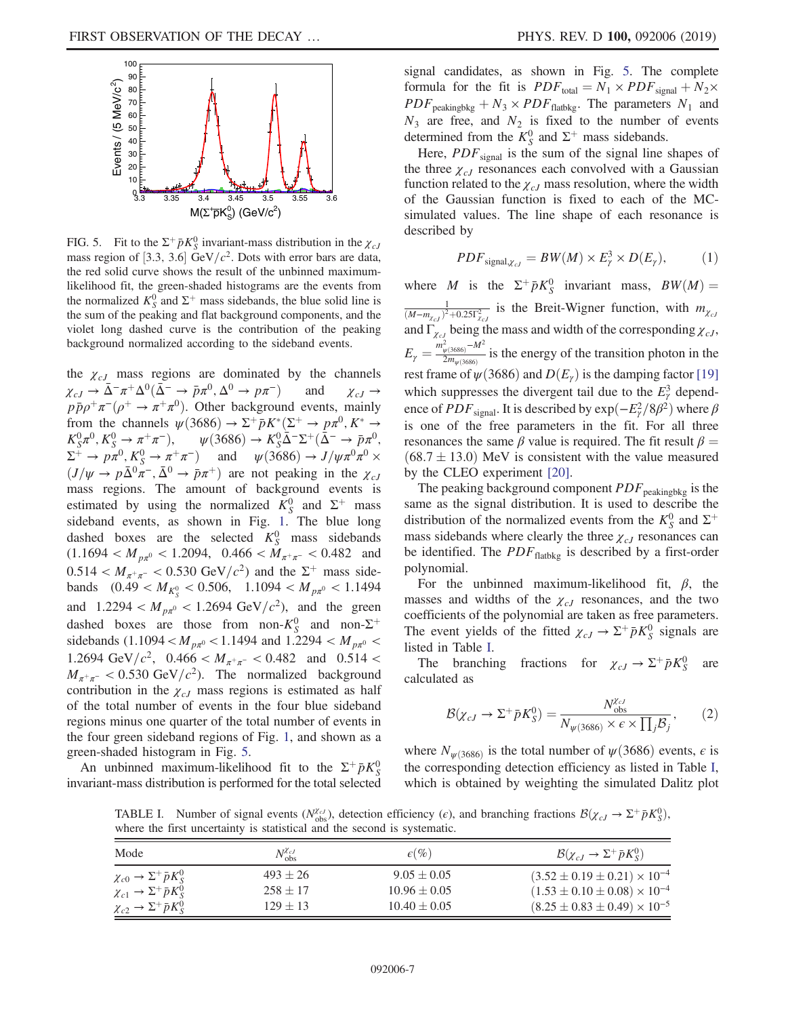<span id="page-6-0"></span>

FIG. 5. Fit to the  $\Sigma^+ \bar{p} K^0_S$  invariant-mass distribution in the  $\chi_{cJ}$ mass region of [3.3, 3.6] GeV/ $c^2$ . Dots with error bars are data, the red solid curve shows the result of the unbinned maximumlikelihood fit, the green-shaded histograms are the events from the normalized  $K_S^0$  and  $\Sigma^+$  mass sidebands, the blue solid line is the sum of the peaking and flat background components, and the violet long dashed curve is the contribution of the peaking background normalized according to the sideband events.

the  $\chi_{cJ}$  mass regions are dominated by the channels  $\chi_{cJ} \to \bar{\Delta}^- \pi^+ \Delta^0 (\bar{\Delta}^- \to \bar{p} \pi^0, \Delta^0 \to p \pi^-)$  and  $\chi_{cJ} \to$  $p\bar{p}\rho^+\pi^-(\rho^+\to \pi^+\pi^0)$ . Other background events, mainly from the channels  $\psi$ (3686)  $\rightarrow \Sigma^+ \bar{p} K^* (\Sigma^+ \rightarrow p \pi^0, K^* \rightarrow$  $K_S^0 \pi^0$ ,  $K_S^0 \rightarrow \pi^+ \pi^-$ ),  $\psi(3686) \rightarrow K_S^0 \overline{\Delta^-} \Sigma^+ (\overline{\Delta^-} \rightarrow \overline{p} \pi^0)$ ,  $\Sigma^+ \to p\pi^0, K^0_S \to \pi^+\pi^-)$  and  $\psi(3686) \to J/\psi\pi^0\pi^0 \times$  $(J/\psi \rightarrow p\bar{\Delta}^0 \pi^-$ ,  $\bar{\Delta}^0 \rightarrow \bar{p}\pi^+$ ) are not peaking in the  $\chi_{cJ}$ mass regions. The amount of background events is estimated by using the normalized  $K_S^0$  and  $\Sigma^+$  mass sideband events, as shown in Fig. [1](#page-4-0). The blue long dashed boxes are the selected  $K_S^0$  mass sidebands  $(1.1694 < M_{p\pi^0} < 1.2094, 0.466 < M_{\pi^+\pi^-} < 0.482$  and  $0.514 < M_{\pi^+\pi^-} < 0.530 \text{ GeV}/c^2$  and the  $\Sigma^+$  mass sidebands  $(0.49 < M_{K_S^0} < 0.506, 1.1094 < M_{p\pi^0} < 1.1494$ and  $1.2294 < M_{p\pi^0} < 1.2694 \text{ GeV}/c^2$ , and the green dashed boxes are those from non- $K_S^0$  and non- $\Sigma^+$ sidebands (1.1094 <  $M_{p\pi^0}$  < 1.1494 and 1.2294 <  $M_{p\pi^0}$  < 1.2694 GeV/ $c^2$ , 0.466 <  $M_{\pi^+\pi^-}$  < 0.482 and 0.514 <  $M_{\pi^+\pi^-}$  < 0.530 GeV/ $c^2$ ). The normalized background contribution in the  $\chi_{cJ}$  mass regions is estimated as half of the total number of events in the four blue sideband regions minus one quarter of the total number of events in the four green sideband regions of Fig. [1,](#page-4-0) and shown as a green-shaded histogram in Fig. [5](#page-6-0).

An unbinned maximum-likelihood fit to the  $\Sigma^+ \bar{p} K^0_S$ invariant-mass distribution is performed for the total selected signal candidates, as shown in Fig. [5](#page-6-0). The complete formula for the fit is  $PDF_{\text{total}} = N_1 \times PDF_{\text{signal}} + N_2 \times$  $PDF_{\text{peakingbkg}} + N_3 \times PDF_{\text{flatbkg}}$ . The parameters  $N_1$  and  $N_3$  are free, and  $N_2$  is fixed to the number of events determined from the  $K_S^0$  and  $\Sigma^+$  mass sidebands.

Here,  $PDF_{signal}$  is the sum of the signal line shapes of the three  $\chi_{cJ}$  resonances each convolved with a Gaussian function related to the  $\chi_{cJ}$  mass resolution, where the width of the Gaussian function is fixed to each of the MCsimulated values. The line shape of each resonance is described by

$$
PDF_{\text{signal} \chi_{cJ}} = BW(M) \times E_\gamma^3 \times D(E_\gamma), \tag{1}
$$

where M is the  $\Sigma^+ \bar{p} K^0_S$  invariant mass,  $BW(M) =$  $\frac{1}{(M-m_{\chi_{cJ}})^2+0.25\Gamma_{\chi_{cJ}}^2}$  is the Breit-Wigner function, with  $m_{\chi_{cJ}}$ and  $\Gamma_{\chi_{cJ}}$  being the mass and width of the corresponding  $\chi_{cJ}$ ,  $E_{\gamma} = \frac{m_{\psi(3686)}^2 - M^2}{2m_{\psi(3686)}}$  is the energy of the transition photon in the rest frame of  $\psi$ (3686) and  $D(E_{\gamma})$  is the damping factor [\[19\]](#page-9-5) which suppresses the divergent tail due to the  $E_\gamma^3$  dependence of  $PDF_{\text{signal}}$ . It is described by  $\exp(-E_{\gamma}^2/8\beta^2)$  where  $\beta$ is one of the free parameters in the fit. For all three resonances the same  $\beta$  value is required. The fit result  $\beta =$  $(68.7 \pm 13.0)$  MeV is consistent with the value measured by the CLEO experiment [\[20\].](#page-9-6)

The peaking background component  $PDF_{\text{peakingbkg}}$  is the same as the signal distribution. It is used to describe the distribution of the normalized events from the  $K_S^0$  and  $\Sigma^+$ mass sidebands where clearly the three  $\chi_{cJ}$  resonances can be identified. The  $PDF_{\text{flatbkg}}$  is described by a first-order polynomial.

For the unbinned maximum-likelihood fit,  $\beta$ , the masses and widths of the  $\chi_{cJ}$  resonances, and the two coefficients of the polynomial are taken as free parameters. The event yields of the fitted  $\chi_{cJ} \to \Sigma^{+} \bar{p} K_{S}^{0}$  signals are listed in Table [I.](#page-6-1)

The branching fractions for  $\chi_{cJ} \to \Sigma^+ \bar{p} K^0_s$ are calculated as

$$
\mathcal{B}(\chi_{cJ} \to \Sigma^+ \bar{p} K_S^0) = \frac{N_{\text{obs}}^{\chi_{cJ}}}{N_{\psi(3686)} \times \epsilon \times \prod_j \mathcal{B}_j},\qquad(2)
$$

where  $N_{\psi(3686)}$  is the total number of  $\psi(3686)$  events,  $\epsilon$  is the corresponding detection efficiency as listed in Table [I](#page-6-1), which is obtained by weighting the simulated Dalitz plot

<span id="page-6-1"></span>TABLE I. Number of signal events ( $N_{obs}^{Z_{cJ}}$ ), detection efficiency ( $\epsilon$ ), and branching fractions  $\mathcal{B}(\chi_{cJ} \to \Sigma^+ \bar{p} K_S^0)$ , where the first uncertainty is statistical and the second is systematic.

| Mode                                           | $N_{\rm obs}^{\chi_{cJ}}$ | $\epsilon(\%)$   | $\mathcal{B}(\chi_{cJ} \to \Sigma^+ \bar{p} K^0_S)$ |
|------------------------------------------------|---------------------------|------------------|-----------------------------------------------------|
| $\chi_{c0} \rightarrow \Sigma^+ \bar{p} K^0_S$ | $493 + 26$                | $9.05 \pm 0.05$  | $(3.52 \pm 0.19 \pm 0.21) \times 10^{-4}$           |
| $\chi_{c1} \rightarrow \Sigma^+ \bar{p} K_S^0$ | $258 \pm 17$              | $10.96 \pm 0.05$ | $(1.53 \pm 0.10 \pm 0.08) \times 10^{-4}$           |
| $\chi_{c2} \rightarrow \Sigma^+ \bar{p} K^0_S$ | $129 \pm 13$              | $10.40 \pm 0.05$ | $(8.25 \pm 0.83 \pm 0.49) \times 10^{-5}$           |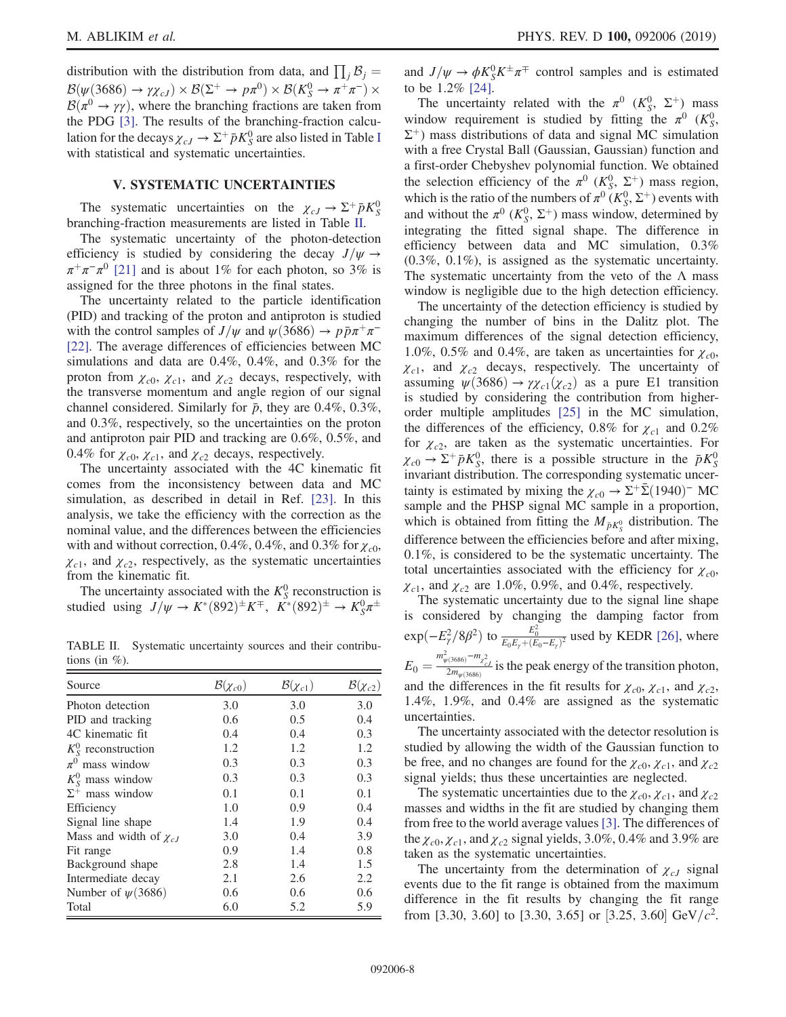distribution with the distribution from data, and  $\prod_j \mathcal{B}_j =$  $\mathcal{B}(\psi(3686) \to \gamma \chi_{cJ}) \times \mathcal{B}(\Sigma^+ \to p\pi^0) \times \mathcal{B}(K^0_S \to \pi^+\pi^-) \times$  $\mathcal{B}(\pi^0 \to \gamma \gamma)$ , where the branching fractions are taken from the PDG [\[3\]](#page-8-2). The results of the branching-fraction calculation for the decays  $\chi_{cJ} \to \Sigma^{+} \bar{p} K_{S}^{0}$  are also listed in Table [I](#page-6-1) with statistical and systematic uncertainties.

## V. SYSTEMATIC UNCERTAINTIES

The systematic uncertainties on the  $\chi_{cJ} \to \Sigma^+ \bar{p} K^0_S$ branching-fraction measurements are listed in Table [II.](#page-7-0)

The systematic uncertainty of the photon-detection efficiency is studied by considering the decay  $J/\psi \rightarrow$  $\pi^+\pi^-\pi^0$  [\[21\]](#page-9-7) and is about 1% for each photon, so 3% is assigned for the three photons in the final states.

The uncertainty related to the particle identification (PID) and tracking of the proton and antiproton is studied with the control samples of  $J/\psi$  and  $\psi$ (3686) →  $p\bar{p}\pi^{+}\pi^{-}$ [\[22\]](#page-9-8). The average differences of efficiencies between MC simulations and data are 0.4%, 0.4%, and 0.3% for the proton from  $\chi_{c0}$ ,  $\chi_{c1}$ , and  $\chi_{c2}$  decays, respectively, with the transverse momentum and angle region of our signal channel considered. Similarly for  $\bar{p}$ , they are 0.4%, 0.3%, and 0.3%, respectively, so the uncertainties on the proton and antiproton pair PID and tracking are 0.6%, 0.5%, and 0.4% for  $\chi_{c0}$ ,  $\chi_{c1}$ , and  $\chi_{c2}$  decays, respectively.

The uncertainty associated with the 4C kinematic fit comes from the inconsistency between data and MC simulation, as described in detail in Ref. [\[23\].](#page-9-9) In this analysis, we take the efficiency with the correction as the nominal value, and the differences between the efficiencies with and without correction, 0.4%, 0.4%, and 0.3% for  $\chi_{c0}$ ,  $\chi_{c1}$ , and  $\chi_{c2}$ , respectively, as the systematic uncertainties from the kinematic fit.

The uncertainty associated with the  $K_S^0$  reconstruction is studied using  $J/\psi \to K^*(892)^\pm K^\mp$ ,  $K^*(892)^\pm \to K_S^0 \pi^\pm$ 

<span id="page-7-0"></span>TABLE II. Systematic uncertainty sources and their contributions (in  $\%$ ).

| Source                        | $\mathcal{B}(\chi_{c0})$ | $\mathcal{B}(\chi_{c1})$ | $\mathcal{B}(\chi_{c2})$ |
|-------------------------------|--------------------------|--------------------------|--------------------------|
| Photon detection              | 3.0                      | 3.0                      | 3.0                      |
| PID and tracking              | 0.6                      | 0.5                      | 0.4                      |
| 4C kinematic fit              | 0.4                      | 0.4                      | 0.3                      |
| $K_{\rm S}^0$ reconstruction  | 1.2                      | 1.2                      | 1.2                      |
| $\pi^0$ mass window           | 0.3                      | 0.3                      | 0.3                      |
| $K_{\rm S}^0$ mass window     | 0.3                      | 0.3                      | 0.3                      |
| $\Sigma^+$ mass window        | 0.1                      | 0.1                      | 0.1                      |
| Efficiency                    | 1.0                      | 0.9                      | 0.4                      |
| Signal line shape             | 1.4                      | 1.9                      | 0.4                      |
| Mass and width of $\chi_{cJ}$ | 3.0                      | 0.4                      | 3.9                      |
| Fit range                     | 0.9                      | 1.4                      | 0.8                      |
| Background shape              | 2.8                      | 1.4                      | 1.5                      |
| Intermediate decay            | 2.1                      | 2.6                      | 2.2                      |
| Number of $\psi(3686)$        | 0.6                      | 0.6                      | 0.6                      |
| Total                         | 6.0                      | 5.2                      | 5.9                      |

and  $J/\psi \rightarrow \phi K_S^0 K^{\pm} \pi^{\mp}$  control samples and is estimated to be 1.2% [\[24\].](#page-9-10)

The uncertainty related with the  $\pi^0$  ( $K^0_S$ ,  $\Sigma^+$ ) mass window requirement is studied by fitting the  $\pi^0$  ( $K^0_S$ ),  $\Sigma^+$ ) mass distributions of data and signal MC simulation with a free Crystal Ball (Gaussian, Gaussian) function and a first-order Chebyshev polynomial function. We obtained the selection efficiency of the  $\pi^0$  ( $K_S^0$ ,  $\Sigma^+$ ) mass region, which is the ratio of the numbers of  $\pi^0$   $(K^0_S, \Sigma^+)$  events with and without the  $\pi^0$  ( $K_S^0$ ,  $\Sigma^+$ ) mass window, determined by integrating the fitted signal shape. The difference in efficiency between data and MC simulation, 0.3% (0.3%, 0.1%), is assigned as the systematic uncertainty. The systematic uncertainty from the veto of the  $\Lambda$  mass window is negligible due to the high detection efficiency.

The uncertainty of the detection efficiency is studied by changing the number of bins in the Dalitz plot. The maximum differences of the signal detection efficiency, 1.0%, 0.5% and 0.4%, are taken as uncertainties for  $\chi_{c0}$ ,  $\chi_{c1}$ , and  $\chi_{c2}$  decays, respectively. The uncertainty of assuming  $\psi(3686) \rightarrow \gamma \chi_{c1}(\chi_{c2})$  as a pure E1 transition is studied by considering the contribution from higherorder multiple amplitudes [\[25\]](#page-9-11) in the MC simulation, the differences of the efficiency, 0.8% for  $\chi_{c1}$  and 0.2% for  $\chi_{c2}$ , are taken as the systematic uncertainties. For  $\chi_{c0} \rightarrow \Sigma^+ \bar{p} K_S^0$ , there is a possible structure in the  $\bar{p} K_S^0$ invariant distribution. The corresponding systematic uncertainty is estimated by mixing the  $\chi_{c0} \rightarrow \Sigma^{+} \bar{\Sigma} (1940)^{-}$  MC sample and the PHSP signal MC sample in a proportion, which is obtained from fitting the  $M_{\bar{p}K^0_S}$  distribution. The difference between the efficiencies before and after mixing, 0.1%, is considered to be the systematic uncertainty. The total uncertainties associated with the efficiency for  $\chi_{c0}$ ,  $\chi_{c1}$ , and  $\chi_{c2}$  are 1.0%, 0.9%, and 0.4%, respectively.

The systematic uncertainty due to the signal line shape is considered by changing the damping factor from  $\exp(-E_\gamma^2/8\beta^2)$  to  $\frac{E_0^2}{E_0E_\gamma+(E_0-E_\gamma)^2}$  used by KEDR [\[26\],](#page-9-12) where  $E_0 = \frac{m_{\psi(3686)}^2 - m_{\chi^2_{cJ}}^2}{2m_{\psi(3686)}}$  is the peak energy of the transition photon, and the differences in the fit results for  $\chi_{c0}$ ,  $\chi_{c1}$ , and  $\chi_{c2}$ , 1.4%, 1.9%, and 0.4% are assigned as the systematic uncertainties.

The uncertainty associated with the detector resolution is studied by allowing the width of the Gaussian function to be free, and no changes are found for the  $\chi_{c0}$ ,  $\chi_{c1}$ , and  $\chi_{c2}$ signal yields; thus these uncertainties are neglected.

The systematic uncertainties due to the  $\chi_{c0}, \chi_{c1}$ , and  $\chi_{c2}$ masses and widths in the fit are studied by changing them from free to the world average values [\[3\].](#page-8-2) The differences of the  $\chi_{c0}$ ,  $\chi_{c1}$ , and  $\chi_{c2}$  signal yields, 3.0%, 0.4% and 3.9% are taken as the systematic uncertainties.

The uncertainty from the determination of  $\chi_{cJ}$  signal events due to the fit range is obtained from the maximum difference in the fit results by changing the fit range from [3.30, 3.60] to [3.30, 3.65] or [3.25, 3.60] GeV/ $c^2$ .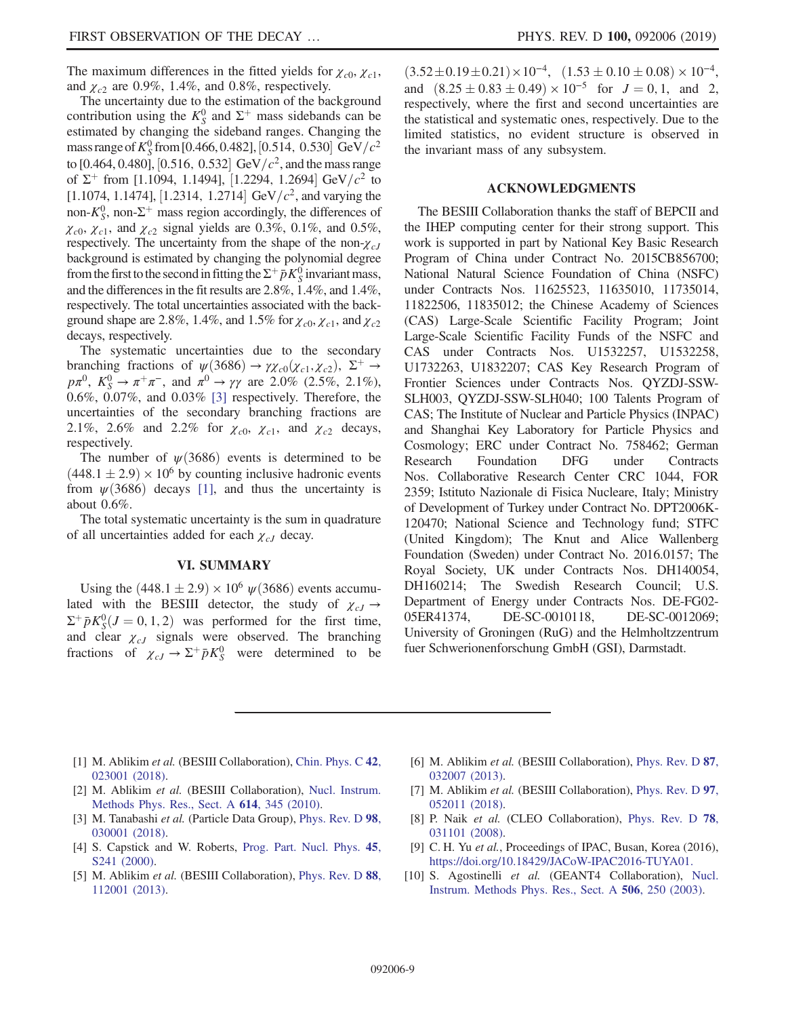The maximum differences in the fitted yields for  $\chi_{c0}, \chi_{c1}$ , and  $\chi_{c2}$  are 0.9%, 1.4%, and 0.8%, respectively.

The uncertainty due to the estimation of the background contribution using the  $K_S^0$  and  $\Sigma^+$  mass sidebands can be estimated by changing the sideband ranges. Changing the mass range of  $K_S^0$  from [0.466, 0.482], [0.514, 0.530] GeV/ $c^2$ to [0.464, 0.480], [0.516, 0.532] GeV/ $c^2$ , and the mass range of  $\Sigma^+$  from [1.1094, 1.1494], [1.2294, 1.2694] GeV/ $c^2$  to [1.1074, 1.1474], [1.2314, 1.2714] GeV/ $c^2$ , and varying the non- $K_S^0$ , non- $\Sigma^+$  mass region accordingly, the differences of  $\chi_{c0}$ ,  $\chi_{c1}$ , and  $\chi_{c2}$  signal yields are 0.3%, 0.1%, and 0.5%, respectively. The uncertainty from the shape of the non- $\chi_{cJ}$ background is estimated by changing the polynomial degree from the first to the second in fitting the  $\Sigma^+ \bar{p} K^0_S$  invariant mass, and the differences in the fit results are 2.8%, 1.4%, and 1.4%, respectively. The total uncertainties associated with the background shape are 2.8%, 1.4%, and 1.5% for  $\chi_{c0}, \chi_{c1}$ , and  $\chi_{c2}$ decays, respectively.

The systematic uncertainties due to the secondary branching fractions of  $\psi$ (3686) →  $\gamma \chi_{c0}(\chi_{c1}, \chi_{c2})$ ,  $\Sigma^+$  →  $p\pi^0$ ,  $K_S^0 \to \pi^+\pi^-$ , and  $\pi^0 \to \gamma\gamma$  are 2.0% (2.5%, 2.1%), 0.6%, 0.07%, and 0.03% [\[3\]](#page-8-2) respectively. Therefore, the uncertainties of the secondary branching fractions are 2.1%, 2.6% and 2.2% for  $\chi_{c0}$ ,  $\chi_{c1}$ , and  $\chi_{c2}$  decays, respectively.

The number of  $\psi$ (3686) events is determined to be  $(448.1 \pm 2.9) \times 10^6$  by counting inclusive hadronic events from  $\psi(3686)$  decays [\[1\]](#page-8-0), and thus the uncertainty is about 0.6%.

The total systematic uncertainty is the sum in quadrature of all uncertainties added for each  $\chi_{cJ}$  decay.

#### VI. SUMMARY

Using the  $(448.1 \pm 2.9) \times 10^6 \psi(3686)$  events accumulated with the BESIII detector, the study of  $\chi_{cJ} \rightarrow$  $\Sigma^+ \bar{p} K^0_S (J = 0, 1, 2)$  was performed for the first time, and clear  $\chi_{cJ}$  signals were observed. The branching fractions of  $\chi_{cJ} \to \Sigma^{+} \bar{p} K_S^0$  were determined to be

 $(3.52 \pm 0.19 \pm 0.21) \times 10^{-4}$ ,  $(1.53 \pm 0.10 \pm 0.08) \times 10^{-4}$ , and  $(8.25 \pm 0.83 \pm 0.49) \times 10^{-5}$  for  $J = 0, 1$ , and 2, respectively, where the first and second uncertainties are the statistical and systematic ones, respectively. Due to the limited statistics, no evident structure is observed in the invariant mass of any subsystem.

#### ACKNOWLEDGMENTS

The BESIII Collaboration thanks the staff of BEPCII and the IHEP computing center for their strong support. This work is supported in part by National Key Basic Research Program of China under Contract No. 2015CB856700; National Natural Science Foundation of China (NSFC) under Contracts Nos. 11625523, 11635010, 11735014, 11822506, 11835012; the Chinese Academy of Sciences (CAS) Large-Scale Scientific Facility Program; Joint Large-Scale Scientific Facility Funds of the NSFC and CAS under Contracts Nos. U1532257, U1532258, U1732263, U1832207; CAS Key Research Program of Frontier Sciences under Contracts Nos. QYZDJ-SSW-SLH003, QYZDJ-SSW-SLH040; 100 Talents Program of CAS; The Institute of Nuclear and Particle Physics (INPAC) and Shanghai Key Laboratory for Particle Physics and Cosmology; ERC under Contract No. 758462; German Research Foundation DFG under Contracts Nos. Collaborative Research Center CRC 1044, FOR 2359; Istituto Nazionale di Fisica Nucleare, Italy; Ministry of Development of Turkey under Contract No. DPT2006K-120470; National Science and Technology fund; STFC (United Kingdom); The Knut and Alice Wallenberg Foundation (Sweden) under Contract No. 2016.0157; The Royal Society, UK under Contracts Nos. DH140054, DH160214; The Swedish Research Council; U.S. Department of Energy under Contracts Nos. DE-FG02- 05ER41374, DE-SC-0010118, DE-SC-0012069; University of Groningen (RuG) and the Helmholtzzentrum fuer Schwerionenforschung GmbH (GSI), Darmstadt.

- <span id="page-8-0"></span>[1] M. Ablikim et al. (BESIII Collaboration), [Chin. Phys. C](https://doi.org/10.1088/1674-1137/42/2/023001) 42, [023001 \(2018\).](https://doi.org/10.1088/1674-1137/42/2/023001)
- <span id="page-8-1"></span>[2] M. Ablikim et al. (BESIII Collaboration), [Nucl. Instrum.](https://doi.org/10.1016/j.nima.2009.12.050) [Methods Phys. Res., Sect. A](https://doi.org/10.1016/j.nima.2009.12.050) 614, 345 (2010).
- <span id="page-8-2"></span>[3] M. Tanabashi et al. (Particle Data Group), [Phys. Rev. D](https://doi.org/10.1103/PhysRevD.98.030001) 98, [030001 \(2018\).](https://doi.org/10.1103/PhysRevD.98.030001)
- <span id="page-8-3"></span>[4] S. Capstick and W. Roberts, [Prog. Part. Nucl. Phys.](https://doi.org/10.1016/S0146-6410(00)00109-5) 45, [S241 \(2000\).](https://doi.org/10.1016/S0146-6410(00)00109-5)
- <span id="page-8-4"></span>[5] M. Ablikim et al. (BESIII Collaboration), [Phys. Rev. D](https://doi.org/10.1103/PhysRevD.88.112001) 88, [112001 \(2013\).](https://doi.org/10.1103/PhysRevD.88.112001)
- [6] M. Ablikim et al. (BESIII Collaboration), [Phys. Rev. D](https://doi.org/10.1103/PhysRevD.87.032007) 87, [032007 \(2013\).](https://doi.org/10.1103/PhysRevD.87.032007)
- [7] M. Ablikim et al. (BESIII Collaboration), [Phys. Rev. D](https://doi.org/10.1103/PhysRevD.97.052011) 97, [052011 \(2018\).](https://doi.org/10.1103/PhysRevD.97.052011)
- [8] P. Naik et al. (CLEO Collaboration), [Phys. Rev. D](https://doi.org/10.1103/PhysRevD.78.031101) 78, [031101 \(2008\).](https://doi.org/10.1103/PhysRevD.78.031101)
- <span id="page-8-5"></span>[9] C. H. Yu et al., Proceedings of IPAC, Busan, Korea (2016), [https://doi.org/10.18429/JACoW-IPAC2016-TUYA01.](https://doi.org/10.18429/JACoW-IPAC2016-TUYA01)
- <span id="page-8-6"></span>[10] S. Agostinelli et al. (GEANT4 Collaboration), [Nucl.](https://doi.org/10.1016/S0168-9002(03)01368-8) [Instrum. Methods Phys. Res., Sect. A](https://doi.org/10.1016/S0168-9002(03)01368-8) 506, 250 (2003).